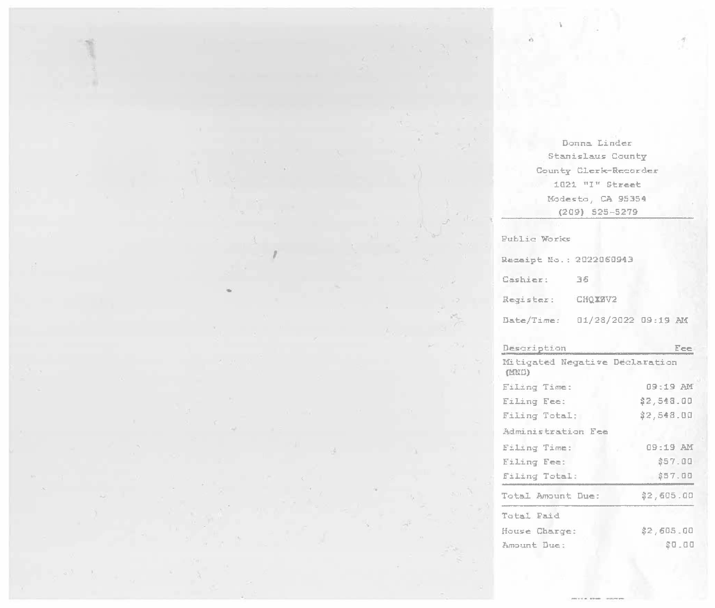Donna Linder Stanislaus County County Clerk-Recorder 1021 "I" Street Modesto, CA 95354  $(209)$  525-5279

Public Works

 $\bar{d}$ 

We are the con-

 $\mathcal{R}$ 

 $\alpha$ 

 $\cdot$ 

| Receipt No.: 2022060943 |                     |  |
|-------------------------|---------------------|--|
| Cashier:                | 36                  |  |
| Register:               | CHOXSV2             |  |
| Date/Time:              | 01/28/2022 09:19 AM |  |

| Description                             | Fee        |
|-----------------------------------------|------------|
| Mitigated Negative Declaration<br>(MKD) |            |
| Filing Time:                            | 09:19 AM   |
| Filing Fee:                             | \$2,548.00 |
| Filing Total:                           | \$2,548.00 |
| Administration Fee                      |            |
| Filing Time:                            | NA 91:00   |
| Eiling Fee:                             | \$57.00    |
| Filing Total:                           | \$57.00    |
| Total Amount Due:                       | \$2,605.00 |
| Total Paid                              |            |
| House Charge:                           | \$2,605.00 |
| Amount Due:                             | SQ .00     |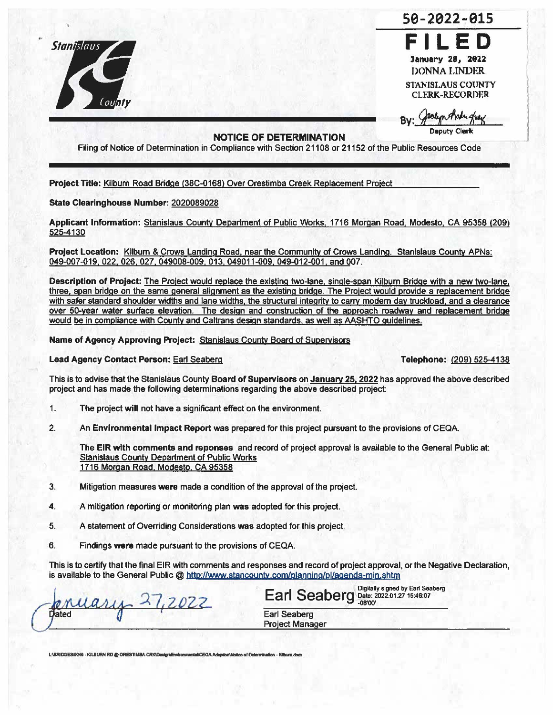

**FILED**  January 28, 2022 DONNA LINDER STANISLAUS COUNTY **CLERK-RECORDER** 

s0-2022~01s

## **NOTICE OF DETERMINATION**

Filing of Notice of Determination in Compliance with Section 21108 or 21152 of the Public Resources Code

**Project** Title: Kilburn Road Bridge (38C-0168) Over Orestimba Creek Replacement Project

## **State Clearinghouse Number:** 2020089028

**Applicant lnfonnation:** Stanislaus County Department of Public Works. 1716 Morgan Road. Modesto. CA 95358 (209) 525-4130

**Project Location:** Kilburn & Crows Landing Road, near the Community of Crows Landing. Stanislaus County APNs: 049-007-019, 022, 026, 027, 049008-009, 013, 049011-009, 049-012-001. and 007.

**Description of Project:** The Project would replace the existing two-lane, single-span Kilburn Bridge with a new two-lane, three, span bridge on the same general alignment as the existing bridge. The Project would provide a replacement bridge with safer standard shoulder widths and lane widths, the structural integrity to carry modem day truckload, and a clearance over 50-year water surface elevation. The design and construction of the approach roadway and replacement bridge would be in compliance with County and Caltrans design standards. as well as AASHTO guidelines.

**Name of Agency Approving Project:** Stanislaus County Board of Supervisors

## **Lead Agency Contact Person: Earl Seaberg <b>Telephone:**  (209) 525-4138

This is to advise that the Stanislaus County **Board of Supervisors** on **January 25. 2022** has approved the above described project and has made the following determinations regarding the above described project:

- 1. The project **will** not have a significant effect on the environment.
- 2. An **Environmental Impact Report was** prepared for this project pursuant to the provisions of CEQA.

The **EIR with comments and reponses** and record of project approval is available to the General Public at: Stanislaus County Department of Public Works 1716 Morgan Road. Modesto. CA 95358

- 3. Mitigation measures **were** made a condition of the approval of the project.
- **4.** A mitigation reporting or monitoring plan was adopted for this project
- 5. A statement of Overriding Considerations was adopted for this project.
- 6. Findings were made pursuant to the provisions of CEQA.

This is to certify that the final EIR with comments and responses and record of project approval, or the Negative Declaration, is available to the General Public @ http://www.stancounty.com/planning/pl/agenda-min.shtm

 $16 - 12022$ Dated

1 Digitally signed by Eart Seaberg **Earl Seaberg** Date: 2022.01.2715:46:07 -08'00' Earl Seaberg Project Manager

L:**IBRIDGES9249 · KILBURN RD @ ORESTIMBA CRK\Dasign\Environmental\CEOA Adoption\Notice of Determination - Kilburn docs**